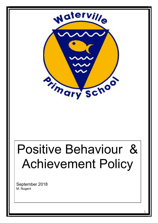

# Positive Behaviour & Achievement Policy

1

September 2018 M. Nugent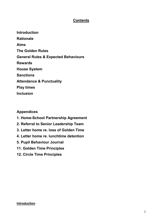# **Contents**

Introduction **Rationale** Aims The Golden Rules General Rules & Expected Behaviours Rewards House System **Sanctions** Attendance & Punctuality Play times **Inclusion** 

# Appendices

- 1. Home-School Partnership Agreement
- 2. Referral to Senior Leadership Team
- 3. Letter home re. loss of Golden Time
- 4. Letter home re. lunchtime detention
- 5. Pupil Behaviour Journal
- 11. Golden Time Principles
- 12. Circle Time Principles

### **Introduction**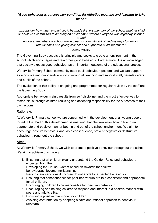# "Good behaviour is a necessary condition for effective teaching and learning to take place."

"….consider how much impact could be made if every member of the school whether child or adult was committed to creating an environment where everyone was regularly listened to and encouraged, where a school made clear its commitment of finding ways to building

relationships and giving respect and support to al lits members."

Jenny Mosley

The Governing Body accepts this principle and seeks to create an environment in the school which encourages and reinforces good behaviour. Furthermore, it is acknowledged that society expects good behaviour as an important outcome of the educational process.

Waterville Primary School community sees pupil behaviour, pastoral and welfare support as a positive and co-operative effort involving all teaching and support staff, parents/carers and pupils of the school.

The evaluation of this policy is on going and programmed for regular review by the staff and the Governing Body.

Appropriate behaviour mainly results from self-discipline, and the most effective way to foster this is through children realising and accepting responsibility for the outcomes of their own actions.

# Rationale:

At Waterville Primary school we are concerned with the development of all young people for adult life. Part of this development is ensuring that children know how to live in an appropriate and positive manner both in and out of the school environment. We aim to encourage positive behaviour and, as a consequence, prevent negative or destructive behaviour throughout the school.

# Aims:

At Waterville Primary School, we wish to promote positive behaviour throughout the school. We aim to achieve this through:

- 1. Ensuring that all children clearly understand the Golden Rules and behaviours expected from them.
- 2. Developing the House System based on rewards for positive behaviour/achievement/citizenship.
- 3. Issuing clear sanctions if children do not abide by expected behaviours.
- 4. Ensuring that consequences for poor behaviours are fair, consistent and appropriate for all children.
- 5. Encouraging children to be responsible for their own behaviour.
- 6. Encouraging and helping children to respond and interact in a positive manner with peers and adults alike.
- 7. Providing a positive role model for children.
- 8. Avoiding confrontation by adopting a calm and rational approach to behaviour problems.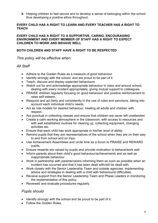9. Helping children to feel secure and to develop a sense of belonging within the school thus developing a positive ethos throughout.

# EVERY CHILD HAS A RIGHT TO LEARN AND EVERY TEACHER HAS A RIGHT TO **TEACH**

### EVERY CHILD HAS A RIGHT TO A SUPPORTIVE, CARING, ENCOURAGING ENVIRONMENT AND EVERY MEMBER OF STAFF HAS A RIGHT TO EXPECT CHILDREN TO WORK AND BEHAVE WELL

# BOTH CHILDREN AND STAFF HAVE A RIGHT TO BE RESPECTED

This policy will be effective when:

# All Staff

- Adhere to the Golden Rules as a measure of good behaviour
- Identify strongly with the school, and are proud to be part of it
- Teach, discuss and display expected behaviours
- Watch out for and acknowledge appropriate behaviour in class and around school, dealing with every incident appropriately, giving mutual support to colleagues.
- PRAISE children regularly focusing on good behaviour and positive reinforcement to raise self esteem.
- Respond and act fairly and consistently in the use of rules and sanctions, taking into account each individual child's needs.
- Act as role models for desired behaviour, treating all adults and children with respect.
- Are punctual in collecting classes and ensure that children are never left unattended.
- Create a calm working atmosphere in the classroom, with access to resources and with well established routines for clearing up, collecting equipment, changing activities etc.
- Ensure that each child has work appropriate to his/her level of ability.
- Remind pupils that they are representatives of the school when they are on their way to and from school and on trips.
- Use Achievement Assemblies and circle time as a forum to PRAISE and REWARD pupils.
- Ensure rewards are valued by pupils and provide motivation to behave/work well
- Inform parents about their child's good behaviour/achievements and as well as inappropriate behaviour.
- Work in partnership with parents/carers informing them as soon as possible when an incident has occurred and that it has been dealt with/will be dealt with.
- Work closely with the Senior Leadership Team and outside agencies, implementing advice and strategies in dealing with a child with behavioural difficulties.
- Receive support from the Senior Leadership Team and Phase Leaders in monitoring the implementation of this policy.
- Reviewed and evaluate procedures regularly.

# Pupils should

- Identify strongly with the school and be proud to be part of it.
- Follow the Golden Rules.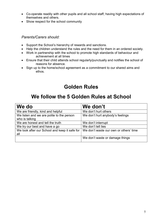- Co-operate readily with other pupils and all school staff, having high expectations of themselves and others.
- Show respect for the school community

# Parents/Carers should:

- Support the School's hierarchy of rewards and sanctions.
- Help the children understand the rules and the need for them in an ordered society.
- Work in partnership with the school to promote high standards of behaviour and achievement at all times
- Ensure that their child attends school regularly/punctually and notifies the school of reasons for absence.
- Sign up to the home/school agreement as a commitment to our shared aims and ethos.

# Golden Rules

# We follow the 5 Golden Rules at School

| We do                                                       | We don't                               |
|-------------------------------------------------------------|----------------------------------------|
| We are friendly, kind and helpful                           | We don't hurt others                   |
| We listen and we are polite to the person<br>who is talking | We don't hurt anybody's feelings       |
| We are honest and tell the truth                            | We don't interrupt                     |
| We try our best and have a go                               | We don't tell lies                     |
| We look after our School and keep it safe for<br>all        | We don't waste our own or others' time |
|                                                             | We don't waste or damage things        |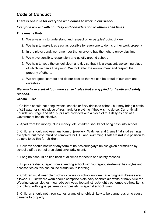# Code of Conduct

# There is one rule for everyone who comes to work in our school

# Everyone will act with courtesy and consideration to others at all times

## This means that-

- 1. We always try to understand and respect other peoples' point of view.
- 2. We help to make it as easy as possible for everyone to do his or her work properly
- 3. In the playground, we remember that everyone has the right to enjoy playtime.
- 4. We move sensibly, responsibly and quietly around school.
- 5. We help to keep the school clean and tidy so that it is a pleasant, welcoming place of which we can all be proud. We look after the environment and respect the property of others.
- 6. We are good learners and do our best so that we can be proud of our work and ourselves.

# We also have a set of 'common sense ' rules that are applied for health and safety reasons.

### General Rules

1.Children should not bring sweets, snacks or fizzy drinks to school, but may bring a bottle of still water or single piece of fresh fruit for playtime if they wish to do so. Currently all Foundation Stage and KS1 pupils are provided with a piece of fruit daily as part of a Government health initiative.

2. Apart from trip money, clubs money, etc. children should not bring cash into school.

3. Children should not wear any form of jewellery. Watches and 2 small flat stud earrings excepted, but these **must** be removed for P.E. and swimming. Staff are **not** in a position to be able to do this for children.

4. Children should not wear any form of hair colouring/dye unless given permission by school staff as part of a celebration/charity event.

5. Long hair should be tied back at all times for health and safety reasons.

6. Pupils are discouraged from attending school with 'outrageous/extreme' hair styles and accessories as this can cause disruption to learning.

7. Children must wear plain school colours or school uniform. Blue gingham dresses are allowed. PE kit where worn should comprise plain navy shorts/plain white or navy blue top. Wearing casual clothes - jeans/beach wear/ football strips/brightly patterned clothes/ items of clothing with logos, patterns or stripes etc. is against school rules.

8. Children should not throw stones or any other object likely to be dangerous or to cause damage to property.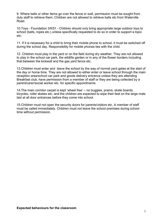9. Where balls or other items go over the fence or wall, permission must be sought from duty staff to retrieve them. Children are not allowed to retrieve balls etc from Waterville Road.

10.Toys - Foundation 3/KS1 - Children should only bring appropriate large outdoor toys to school (balls, ropes etc.) unless specifically requested to do so in order to support a topic etc.

11. If it is necessary for a child to bring their mobile phone to school, it must be switched off during the school day. Responsibility for mobile phones lies with the child.

12. Children must play in the yard or on the field during dry weather. They are not allowed to play in the school car park, the wildlife garden or in any of the flower borders including that between the kickwall and the gas yard fence etc.

13.Children must enter and leave the school by the way of normal yard gates at the start of the day or home time. They are not allowed to either enter or leave school through the main reception area/school car park and goods delivery entrance unless they are attending Breakfast club, have permission from a member of staff or they are being collected by a parent/carer/social worker etc. for specific appointments

14.The main corridor carpet is kept 'wheel free' – no buggies, prams, skate boards, bicycles, roller skates etc. and the children are expected to wipe their feet on the large mats laid at all door entrances before they come into school.

15.Children must not open the security doors for parents/visitors etc. A member of staff must be called immediately. Children must not leave the school premises during school time without permission.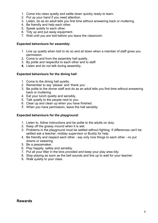- 1. Come into class quietly and settle down quickly ready to learn.
- 2. Put up your hand if you need attention.
- 3. Listen, do as an adult tells you first time without answering back or muttering.
- 4. Be friendly and help each other.
- 5. Speak quietly to each other.
- 6. Tidy up and put away equipment.
- 7. Wait until you are told before you leave the classroom.

## Expected behaviours for assembly:

- 1. Line up quietly when told to do so and sit down when a member of staff gives you permission
- 2. Come to and from the assembly hall quietly.
- 3. By polite and respectful to each other and to staff.
- 4. Listen and do not talk during assembly.

### Expected behaviours for the dining hall:

- 1. Come to the dining hall quietly.
- 2. Remember to say 'please' and 'thank you' .
- 3. Be polite to the dinner staff and do as an adult tells you first time without answering back or muttering.
- 4. Eat your lunch quietly and sensibly.
- 5. Talk quietly to the people next to you.
- 6. Clear up and clean up when you have finished.
- 7. When you have permission, leave the hall sensibly.

# Expected behaviours for the playground:

- 1. Listen to, follow instructions and be polite to the adults on duty.
- 2. Keep off the grassy mound when it is wet.
- 3. Problems in the playground must be settled without fighting. If differences can't be settled ask a teacher, midday supervisor or Buddy for help.
- 4. Be friendly and respect each other say only nice things to each other no put downs or swearing.
- 5. Be a peacemaker.
- 6. Play happily, safely and sensibly.
- 7. Put all your litter in the bins provided and keep your play area tidy.
- 8. Stop playing as soon as the bell sounds and line up to wait for your teacher.
- 9. Walk quietly to your class.

# Rewards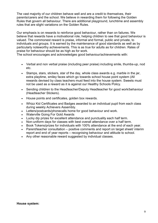The vast majority of our children behave well and are a credit to themselves, their parents/carers and the school. We believe in rewarding them for following the Golden Rules that govern all behaviour. There are additional playground, lunchtime and assembly rules that are slight variations on the Golden Rules.

Our emphasis is on rewards to reinforce good behaviour, rather than on failures. We believe that rewards have a motivational role, helping children to see that good behaviour is valued. The commonest reward is praise, informal and formal, public and private, to individuals and groups. It is earned by the maintenance of good standards as well as by particularly noteworthy achievements. This is as true for adults as for children. Rates of praise for behaviour should be as high as for work.

The school encourages and acknowledges good behaviour/achievements with:

- Verbal and non verbal praise (including peer praise) including smile, thumbs-up, nod etc.
- Stamps, stars, stickers, star of the day, whole class awards e.g. marble in the jar, extra playtime, smiley faces which go towards school house point system (All rewards devised by class teachers must feed into the house system. Sweets must not be used as a reward as it is against our Healthy Schools Policy.
- Sending children to the Headteacher/Deputy Headteacher for good work/behaviour (Headteacher Stickers).
- House points and certificates, golden box rewards.
- Whizz Kid Certificates and Badges awarded to an individual pupil from each class during weekly Achievers Assembly.
- Letters/postcards/phonecalls home for good behaviour and work.
- Waterville Going For Gold Awards
- Lucky dip prizes for excellent attendance and punctuality each half term.
- Non-uniform days for classes with best overall attendance over a half term.
- Book Tokens/prizes for individuals with 100% attendance at the end of each year.
- Parent/teacher consultation positive comments and report on target sheet/ interim report and end of year reports – recognising behaviour and attitude to school.
- Any other reasonable reward suggested by individual classes.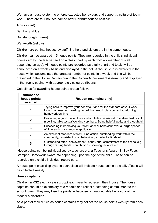We have a house system to enforce expected behaviours and support a culture of teamwork. There are four houses named after Northumberland castles:

Alnwick (red)

Bamburgh (blue)

Dunstanburgh (green)

Warkworth (yellow)

Children are put into houses by staff. Brothers and sisters are in the same house.

Children can be awarded 1-5 house points. They are recorded in the child's individual house card by the teacher and on a class chart by each child (or member of staff depending on age). All house points are recorded as a tally chart and totals will be announced on a weekly basis and displayed in the hall. A 'house' cup is awarded to the house which accumulates the greatest number of points in a week and this will be presented to the House Captain during the Golden Achievement Assembly and displayed in the trophy cabinet with appropriately coloured ribbons.

| Number of<br>house points<br>awarded | <b>Reason (examples only)</b>                                                                                                                                         |
|--------------------------------------|-----------------------------------------------------------------------------------------------------------------------------------------------------------------------|
|                                      | Trying hard to improve your behaviour and /or the standard of your work.<br>Using home-school reading record, homework diary correctly, returning<br>homework on time |
| 2                                    | Producing a good piece of work which fulfils criteria set. Excellent test result<br>(spelling, table tests.) Working very hard. Being helpful, polite and thoughtful. |
| 3                                    | Succeeding in improving your work and/ or behaviour over a <b>longer</b> period<br>of time and consistency in application.                                            |
| 4                                    | An excellent standard of work, kind action, outstanding work within the<br>community, consistent good behaviour, excellent attitude etc.                              |
| 5                                    | Outstanding effort, achievement, behaviour, commitment to the school e.g.<br>through raising funds, contributions, showing initiative etc.                            |

Guidelines for awarding house points are as follows:

 House points can be individualised by teachers e.g. a Teacher's Award, Smiley Face, Stamper, Homework Award etc depending upon the age of the child. These can be recorded on a child's individual record card.

A house point chart displayed in each class will indicate house points as a tally .Totals will be collected weekly.

# House captains

Children in KS2 elect a year six pupil each year to represent their House. The house captains should be exemplary role models and reflect outstanding commitment to the school rules. They may lose the privilege because of unacceptable behaviour at the teacher's discretion .

As a part of their duties as house captains they collect the house points weekly from each class.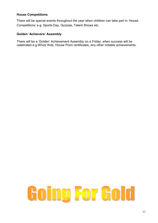# House Competitions

There will be special events throughout the year when children can take part in 'House Competitions' e.g. Sports Day, Quizzes, Talent Shows etc.

# Golden 'Achievers' Assembly

There will be a 'Golden' Achievement Assembly on a Friday, when success will be celebrated e.g.Whizz Kids, House Point certificates, any other notable achievements.

# Going For Gold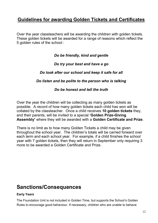# Guidelines for awarding Golden Tickets and Certificates

Over the year classteachers will be awarding the children with golden tickets. These golden tickets will be awarded for a range of reasons which reflect the 5 golden rules of the school :

Do be friendly, kind and gentle

# Do try your best and have a go

# Do look after our school and keep it safe for all

# Do listen and be polite to the person who is talking

# Do be honest and tell the truth

Over the year the children will be collecting as many golden tickets as possible. A record of how many golden tickets each child has won will be collated by the classteacher. Once a child receives 10 golden tickets they, and their parents, will be invited to a special 'Golden Prize-Giving Assembly' where they will be awarded with a Golden Certificate and Prize.

There is no limit as to how many Golden Tickets a child may be given throughout the school year. The children's totals will be carried forward over each term and each school year. For example, if a child finishes the school year with 7 golden tickets, then they will return in September only requiring 3 more to be awarded a Golden Certificate and Prize.

# Sanctions/Consequences

# Early Years

The Foundation Unit is not included in Golden Time, but supports the School's Golden Rules to encourage good behaviour. If necessary, children who are unable to behave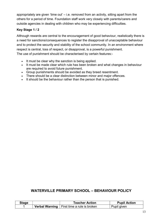appropriately are given 'time out'  $-$  i.e. removed from an activity, sitting apart from the others for a period of time. Foundation staff work very closely with parents/carers and outside agencies in dealing with children who may be experiencing difficulties.

# Key Stage 1 / 2

Although rewards are central to the encouragement of good behaviour, realistically there is a need for sanctions/consequences to register the disapproval of unacceptable behaviour and to protect the security and stability of the school community. In an environment where respect is central, loss of respect, or disapproval, is a powerful punishment. The use of punishment should be characterised by certain features:-

- It must be clear why the sanction is being applied.
- It must be made clear which rule has been broken and what changes in behaviour are required to avoid future punishment.
- Group punishments should be avoided as they breed resentment.
- There should be a clear distinction between minor and major offences.
- It should be the behaviour rather than the person that is punished.

# WATERVILLE PRIMARY SCHOOL – BEHAVIOUR POLICY

| Stage | <b>Teacher Action</b>                               | <b>Pupil Action</b> |
|-------|-----------------------------------------------------|---------------------|
|       | <b>Verbal Warning</b>   First time a rule is broken | Pupil given         |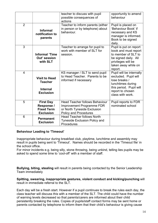|                 |                                                                               | teacher to discuss with pupil<br>possible consequences of<br>actions                                                              | opportunity to amend<br>behaviour                                                                                                                         |
|-----------------|-------------------------------------------------------------------------------|-----------------------------------------------------------------------------------------------------------------------------------|-----------------------------------------------------------------------------------------------------------------------------------------------------------|
| $\overline{2}$  | <b>Informal</b><br>notification to<br>parents                                 | Teacher to inform parents (either<br>in person or by telephone) about<br>behaviour.                                               | Pupil is placed on<br>'Behaviour Book' if<br>necessary and KS<br>manager is informed.<br>Book to be signed<br>daily.                                      |
| $\overline{3}$  | <b>Informal 'Time</b><br>Out' session<br>with SLT                             | Teacher to arrange for pupil to<br>work with member of SLT for<br>session.                                                        | Pupil is put on report<br>book and must report<br>to member of SLT to<br>be signed daily. All<br>privileges will be<br>taken away while on<br>report.     |
| $\overline{4}$  | <b>Visit to Head</b><br><b>Teacher</b><br><b>Internal</b><br><b>Exclusion</b> | KS manager / SLT to send pupil<br>to Head Teacher. Parents to be<br>informed if necessary                                         | Pupil will be internally<br>excluded. Pupil will<br>lose breaks /<br>lunchtimes during<br>this period. Pupil will<br>report to chosen<br>class with work. |
| 5               | <b>First Day</b><br>Response /<br><b>Fixed Term</b><br><b>Exclusion</b>       | <b>Head Teacher follows Behaviour</b><br>Improvement Programme FDR<br>or North Tyneside Exclusion<br><b>Policy and Procedures</b> | Pupil reports to FDR<br>nominated school                                                                                                                  |
| $6\phantom{1}6$ | <b>Permanent</b><br><b>Exclusion</b>                                          | <b>Head Teacher follows North</b><br><b>Tyneside Exclusion Policy and</b><br>Procedures                                           |                                                                                                                                                           |

# Behaviour Leading to 'Timeout'

Inappropriate behaviour during breakfast club, playtime, lunchtime and assembly may result in pupils being sent to 'Timeout'. Names should be recorded in the 'Timeout file' in the school office.

For minor incidents e.g. being silly, stone throwing, being unkind, telling lies pupils may be asked to spend some time to 'cool-off' with a member of staff.

Bullying, biting, stealing will result in parents being contacted by the Senior Leadership Team immediately

Spitting, swearing, inappropriate gestures, violent conduct and kicking/punching will result in immediate referral to the SLT.

Each day will be a fresh start. However if a pupil continues to break the rules each day, the class teacher will discuss this with a member of the SLT. The child could have the number of warning levels decreased so that parents/carers are informed about their child persistently breaking the rules. Copies of pupils/staff contact forms may be sent home or parents contacted by telephone to inform them that their child's behaviour is giving cause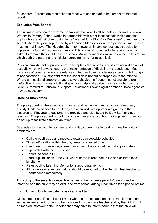for concern. Parents are then asked to meet with senior staff to implement an internal report.

# Exclusion from School

The ultimate sanction for extreme behaviour, available to all schools is Formal Exclusion. Waterville Primary School works in partnership with other local schools which enables pupils who are at risk of exclusion to be 'referred for a First Day Response' to another local school where they are supervised by a Learning Mentor over a fixed period of time up to a maximum of 5 days. The Headteacher may, however, in very serious cases decide to implement a formal fixed term exclusion. This is a legal document whereby a parent is asked to remove their child from the school. An agreement is drawn up on the child's return which both the parent and child sign agreeing terms for re-admission.

Physical punishment of pupils is never acceptable/appropriate and is considered an act of assault, which will always lead to the implementation of disciplinary procedures. Most instances of poor behaviour are relatively minor and can be adequately dealt with through minor sanctions. It is important that the sanction is not out of proportion to the offence. Where anti-social, disruptive or aggressive behaviour is frequent sanctions alone are ineffective. In such cases additional specialist help and advice may be sought from the SENCO, referral to Behaviour Support, Educational Psychologist or other outside agencies may be necessary.

### Breaks/Lunch times

The playground is where social exchanges and behaviour can become strained very quickly. Children behave better if they are occupied with appropriate games in the playground. Playground equipment is provided and distributed by Duty Staff or class teachers. The playground is continually being developed so that markings and 'zones' can be set up to facilitate different activities.

Strategies to use by duty teachers and midday supervisors to deal with any behaviour problems are

- Call the pupil aside and motivate towards acceptable behaviour
- Time-out/isolation within the play area for a limited time
- Ban them from using equipment for a day if they are not using it appropriately
- Pupil walks with the supervisor
- Report incident to SLT
- Send pupil to 'lunch Time Out' where name is recorded in file and children lose lunchtime
- Refer pupil to Learning Mentor for support/intervention
- All incidents of a serious nature should be reported to the Deputy Headteacher or Headteacher immediately

According to the severity or repetitive nature of the incidents parents/carers may be informed and the child may be excluded from school during lunch times for a period of time

If a child has 5 lunchtime detentions over a half term:

Class teacher and Phase Leader meet with the parents and lunchtime monitoring charts will be implemented . Charts to be monitored by the class teacher and by the DHT/HT. If no marked improvements, Headteacher may have to inform parents that the child will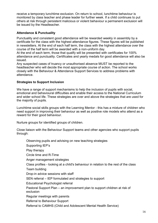receive a temporary lunchtime exclusion. On return to school, lunchtime behaviour is monitored by class teacher and phase leader for further week. If a child continues to put others at risk through persistent malicious or violent behaviour a permanent exclusion will be issued by the Headteacher.

# Attendance & Punctuality

Punctuality and consistent good attendance will be rewarded weekly in assembly by a certificate for the class with the highest attendance figures. These figures will be published in newsletters. At the end of each half term, the class with the highest attendance over the course of the half term will be awarded with a non-uniform day.

At the end of each term, those that qualify will be presented with certificates for 100% attendance and punctuality. Certificates and yearly medals for good attendance will also be issued.

Any suspected cases of truancy or unauthorised absence MUST be reported to the headteacher who will decide the most appropriate course of action. The school works closely with the Behaviour & Attendance Support Services to address problems with attendance.

# Strategies to Support Inclusion

We have a range of support mechanisms to help the inclusion of pupils with social, emotional and behavioural difficulties and enable their access to the National Curriculum and wider school life. These strategies are over and above the strategies that are used for the majority of pupils.

Lunchtime social skills groups with the Learning Mentor - this has a mixture of children who need support in improving their behaviour as well as positive role models who attend as a reward for their good behaviour.

Nurture groups for identified groups of children.

Close liaison with the Behaviour Support teams and other agencies who support pupils through:

Observing pupils and advising on new teaching strategies

Supporting IEP's

Play therapy

Circle time and R-Time

Anger management strategies

Class profiles - looking at a child's behaviour in relation to the rest of the class

Team building

Drop-in advice sessions with staff

SEN referral – IEP formulated and strategies to support

Educational Psychologist referral

Pastoral Support Plan – an improvement plan to support children at risk of exclusion

Regular meetings with parents

Referral to Behaviour Support

Referral to CAMHS (Child and Adolescent Mental Health Service)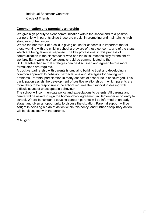Individual Behaviour Contracts Circle of Friends

# Communication and parental partnership

We give high priority to clear communication within the school and to a positive partnership with parents since these are crucial in promoting and maintaining high standards of behaviour.

Where the behaviour of a child is giving cause for concern it is important that all those working with the child in school are aware of those concerns, and of the steps which are being taken in response. The key professional in this process of communication is the classteacher who has the initial responsibility for the child's welfare. Early warning of concerns should be communicated to the

SLT/Headteacher so that strategies can be discussed and agreed before more formal steps are required.

A positive partnership with parents is crucial to building trust and developing a common approach to behaviour expectations and strategies for dealing with problems. Parental participation in many aspects of school life is encouraged. This participation assists the development of positive relationships in which parents are more likely to be responsive if the school requires their support in dealing with difficult issues of unacceptable behaviour.

The school will communicate policy and expectations to parents. All parents and carers will be asked to sign the home-school agreement in September or on entry to school. Where behaviour is causing concern parents will be informed at an early stage, and given an opportunity to discuss the situation. Parental support will be sought in devising a plan of action within this policy, and further disciplinary action will be discussed with the parents.

M.Nugent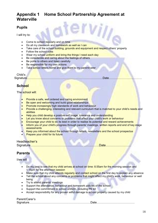# Appendix 1 Home School Partnership Agreement at **Waterville**

# Pupils

I will try to:

- Come to school regularly and on time
- Do all my classwork and homework as well as I can
- Take care of the school building, grounds and equipment and respect others' property
- Follow the school rules
- Wear my school uniform and bring the things I need each day
- Be considerate and caring about the feelings of others
- Be polite to others and listen carefully
- Be responsible for my own actions
- Take school letters home and give them to my parent/carer

# Child's

Signature……………………………………………………………………Date…………………………….

**School** 

The school will:

- Provide a safe, well ordered and caring environment
- Be open and welcoming and build good relationships
- Promote increasingly high standards of work and behaviour
- Provide a challenging, interesting and relevant curriculum that is matched to your child's needs and abilities
- Help you child develop a positive self image, tolerance and understanding
- Let you know about concerns or problems that affect your child's work or behaviour
- Encourage your child to do its best in order to realise its potential and reward achievements
- Inform you of your child's progress through parents' meetings, written reports and end of key stage assessments
- Keep you informed about the school through letters, newsletters and the school prospectus
- Prepare your child for its future

Headteacher's

Signature………………………………………………………..Date……………………

# Parents

I/we will

- Do my best to see that my child arrives at school on time: 8.55am for the morning session and 1.15pm for the afternoon session
- Make sure that my child attends regularly and contact school on the first day to explain any absence
- Tell the school about any concerns or problems that might affect my child's work, behaviour or well being
- Try to attend parents' meetings
- Support the attendance, behaviour and homework policies of the school
- Support the commitment to school uniform, including PE kit
- Accept responsibility for any proven wilful damage to school property caused by my child

## Parent/Carer's

Signature………………………………………………………Date…………………………………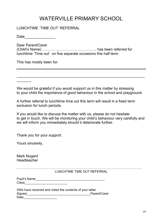# WATERVILLE PRIMARY SCHOOL

# LUNCHTIME 'TIME OUT' REFERRAL

Date  $\qquad \qquad \qquad \qquad$ 

Dear Parent/Carer (Child's Name) …………………………………….. has been referred for lunchtime 'Time out' on five separate occasions this half term.

This has mostly been for:

 $\overline{\phantom{a}}$ 

We would be grateful if you would support us in this matter by stressing to your child the importance of good behaviour in the school and playground.

 $\_$  , and the contribution of the contribution of  $\mathcal{L}_\mathcal{A}$  , and the contribution of  $\mathcal{L}_\mathcal{A}$ 

A further referral to lunchtime time out this term will result in a fixed term exclusion for lunch periods.

If you would like to discuss the matter with us, please do not hesitate to get in touch. We will be monitoring your child's behaviour very carefully and we will inform you immediately should it deteriorate further.

Thank you for your support.

Yours sincerely,

Mark Nugent **Headteacher** 

> ………………………………………………………………………………………………………. LUNCHTIME TIME OUT REFERRAL

| Pupil's Name |  |
|--------------|--|
| <b>Class</b> |  |

| I/We have received and noted the contents of your letter. |              |
|-----------------------------------------------------------|--------------|
| Signed                                                    | Parent/Carer |
| Date                                                      |              |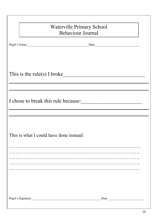| <b>Waterville Primary School</b><br><b>Behaviour Journal</b> |
|--------------------------------------------------------------|
|                                                              |
| Pupil's Name                                                 |
|                                                              |
|                                                              |
|                                                              |
| This is the rule(s) I broke                                  |
|                                                              |
|                                                              |
|                                                              |
| I chose to break this rule because:                          |
|                                                              |
|                                                              |
|                                                              |
| This is what I could have done instead:                      |
|                                                              |
|                                                              |
|                                                              |
|                                                              |
|                                                              |
|                                                              |
|                                                              |
|                                                              |
|                                                              |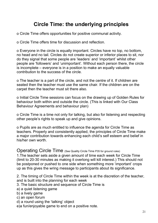# Circle Time: the underlying principles

o Circle Time offers opportunities for positive communal activity.

o Circle Time offers time for discussion and reflection.

o Everyone in the circle is equally important. Circles have no top, no bottom, no head and no tail. Circles do not create superior or inferior places to sit, nor do they signal that some people are 'leaders' and 'important' whilst other people are 'followers' and 'unimportant'. Without each person there, the circle is incomplete – everyone is in a position to make an equally valuable contribution to the success of the circle.

o The teacher is a part of the circle, and not the centre of it. If children are seated then the teacher must use the same chair. If the children are on the carpet then the teacher must sit there also.

o Initial Circle Time sessions can focus on the drawing up of Golden Rules for behaviour both within and outside the circle. (This is linked with Our Class Behaviour Agreements and behaviour plan)

o Circle Time is a time not only for talking, but also for listening and respecting other people's rights to speak up and give opinions.

o Pupils are as much entitled to influence the agenda for Circle Time as teachers. Properly and consistently applied, the principles of Circle Time make a major contribution towards enhancing each child's self esteem and belief in his/her own worth.

# Operating Circle Time (See Quality Circle Time P35 for ground rules)

1.The teacher sets aside a given amount of time each week for Circle Time (limit to 20-30 minutes as making it overlong will kill interest.) This should not be postponed or pushed to one side when something more 'important' crops up as this gives the wring message to participants about its significance.

2. The timing of Circle Time within the week is at the discretion of the teacher, and is built into the planning for each week

- 3. The basic structure and sequence of Circle Time is
- a) a quiet listening game
- b) a lively game
- c) an open forum
- d) a round using the 'talking' object
- e)a fun/enjoyable game to end on a positive note.